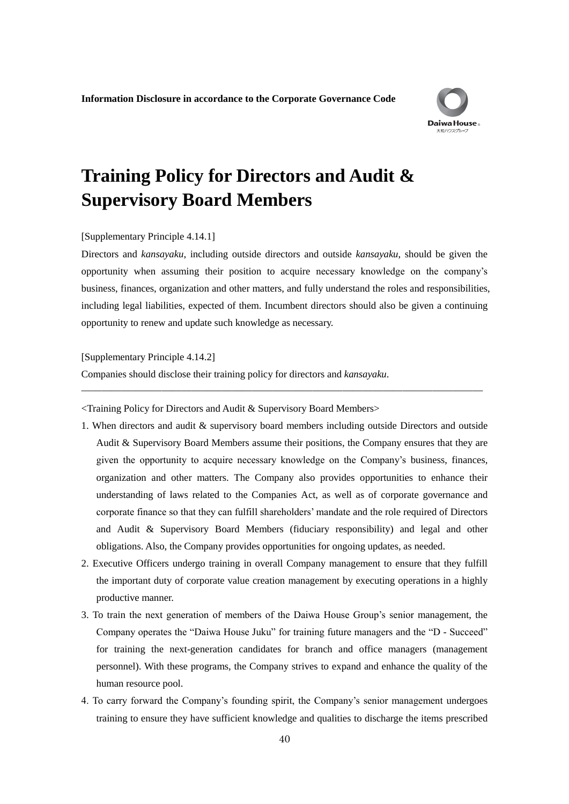

## **Training Policy for Directors and Audit & Supervisory Board Members**

## [Supplementary Principle 4.14.1]

Directors and *kansayaku*, including outside directors and outside *kansayaku*, should be given the opportunity when assuming their position to acquire necessary knowledge on the company's business, finances, organization and other matters, and fully understand the roles and responsibilities, including legal liabilities, expected of them. Incumbent directors should also be given a continuing opportunity to renew and update such knowledge as necessary.

[Supplementary Principle 4.14.2]

Companies should disclose their training policy for directors and *kansayaku*.

<Training Policy for Directors and Audit & Supervisory Board Members>

1. When directors and audit & supervisory board members including outside Directors and outside Audit & Supervisory Board Members assume their positions, the Company ensures that they are given the opportunity to acquire necessary knowledge on the Company's business, finances, organization and other matters. The Company also provides opportunities to enhance their understanding of laws related to the Companies Act, as well as of corporate governance and corporate finance so that they can fulfill shareholders' mandate and the role required of Directors and Audit & Supervisory Board Members (fiduciary responsibility) and legal and other obligations. Also, the Company provides opportunities for ongoing updates, as needed.

――――――――――――――――――――――――――――――――――――――――

- 2. Executive Officers undergo training in overall Company management to ensure that they fulfill the important duty of corporate value creation management by executing operations in a highly productive manner.
- 3. To train the next generation of members of the Daiwa House Group's senior management, the Company operates the "Daiwa House Juku" for training future managers and the "D - Succeed" for training the next-generation candidates for branch and office managers (management personnel). With these programs, the Company strives to expand and enhance the quality of the human resource pool.
- 4. To carry forward the Company's founding spirit, the Company's senior management undergoes training to ensure they have sufficient knowledge and qualities to discharge the items prescribed